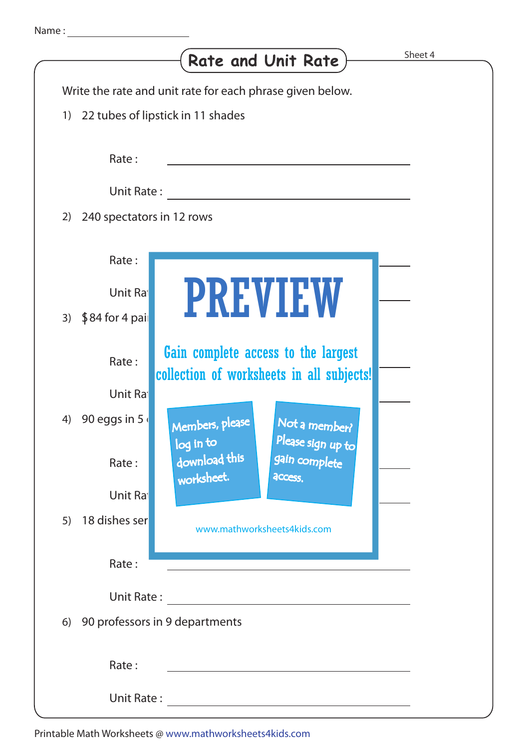|                                            | <b>Rate and Unit Rate</b>                                                                            | Sheet 4 |
|--------------------------------------------|------------------------------------------------------------------------------------------------------|---------|
|                                            | Write the rate and unit rate for each phrase given below.                                            |         |
| 1)                                         | 22 tubes of lipstick in 11 shades                                                                    |         |
| Rate:                                      |                                                                                                      |         |
| Unit Rate:                                 |                                                                                                      |         |
| 240 spectators in 12 rows<br>2)            |                                                                                                      |         |
| Rate:<br>Unit Ra<br>$$84$ for 4 pail<br>3) | <b>PREVIEW</b>                                                                                       |         |
| Rate:<br>Unit Ra                           | Gain complete access to the largest<br>collection of worksheets in all subjects!                     |         |
| 90 eggs in 5<br>4)<br>Rate:                | Members, please<br>Not a member?<br>Please sign up to<br>log in to<br>download this<br>gain complete |         |
| Unit Ra                                    | worksheet.<br>access.                                                                                |         |
| 18 dishes ser<br>5)                        | www.mathworksheets4kids.com                                                                          |         |
| Rate:                                      |                                                                                                      |         |
| Unit Rate:                                 |                                                                                                      |         |
| 6)                                         | 90 professors in 9 departments                                                                       |         |
| Rate:                                      |                                                                                                      |         |
| Unit Rate:                                 |                                                                                                      |         |